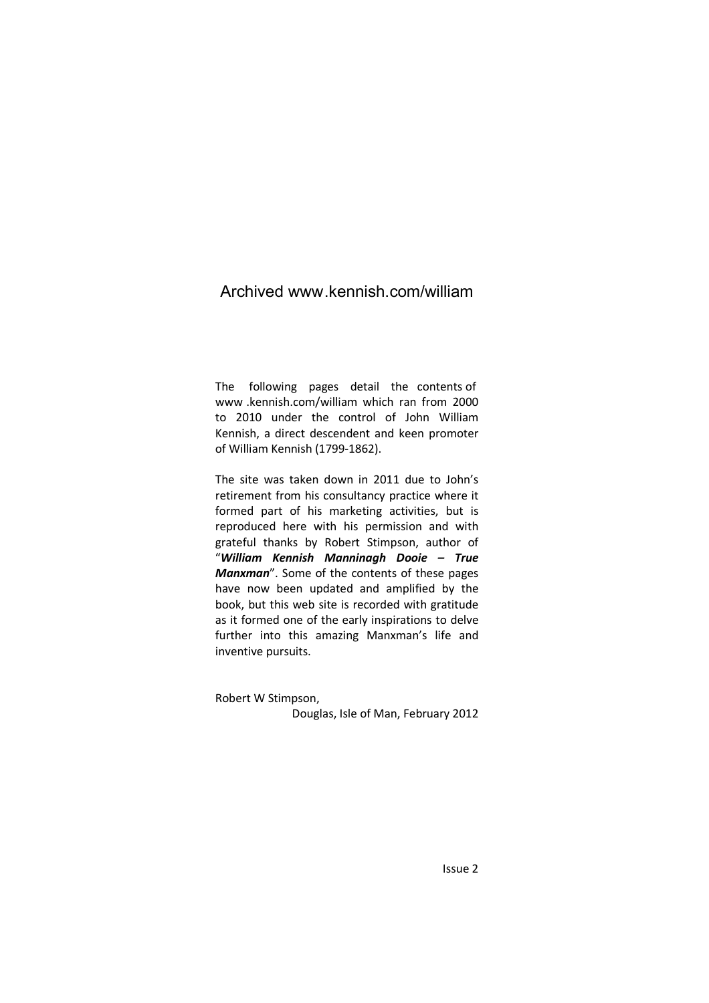# Archived www.kennish.com/william

The following pages detail the contents of www .kennish.com/william which ran from 2000 to 2010 under the control of John William Kennish, a direct descendent and keen promoter of William Kennish (1799-1862).

The site was taken down in 2011 due to John's retirement from his consultancy practice where it formed part of his marketing activities, but is reproduced here with his permission and with grateful thanks by Robert Stimpson, author of "*William Kennish Manninagh Dooie – True Manxman*". Some of the contents of these pages have now been updated and amplified by the book, but this web site is recorded with gratitude as it formed one of the early inspirations to delve further into this amazing Manxman's life and inventive pursuits.

Robert W Stimpson,

Douglas, Isle of Man, February 2012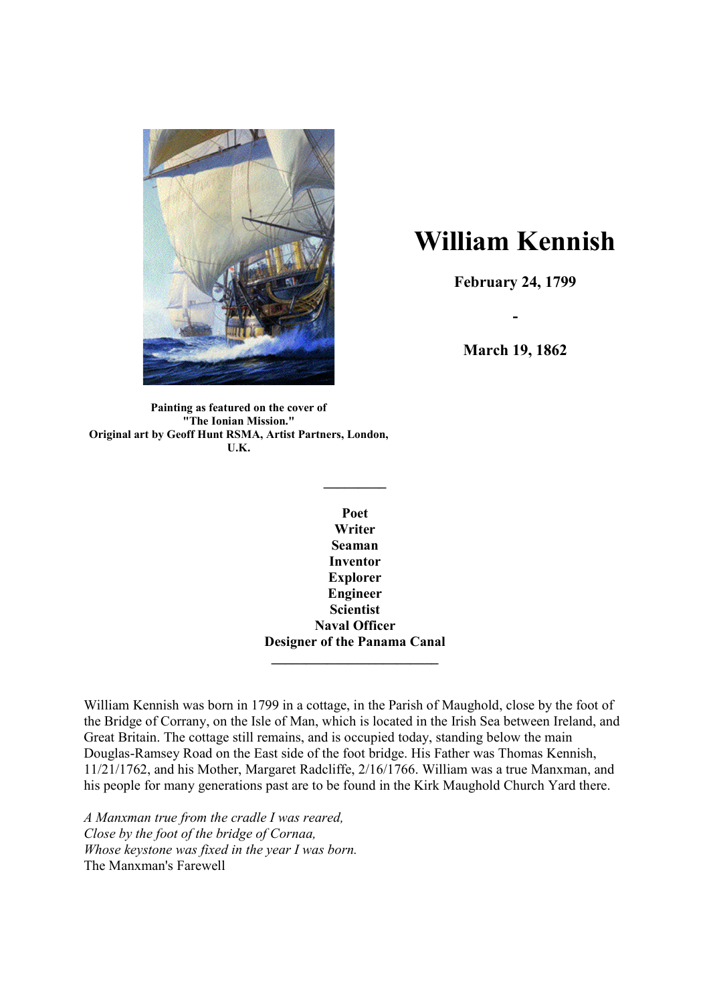

# **William Kennish**

**February 24, 1799** 

**March 19, 1862** 

**-** 

**Painting as featured on the cover of "The Ionian Mission." Original art by Geoff Hunt RSMA, Artist Partners, London, U.K.**

**Poet Writer Seaman Inventor Explorer Engineer Scientist Naval Officer Designer of the Panama Canal** 

**\_\_\_\_\_\_\_\_\_\_\_\_\_\_\_\_\_\_\_\_\_\_\_\_**

**\_\_\_\_\_\_\_\_\_** 

William Kennish was born in 1799 in a cottage, in the Parish of Maughold, close by the foot of the Bridge of Corrany, on the Isle of Man, which is located in the Irish Sea between Ireland, and Great Britain. The cottage still remains, and is occupied today, standing below the main Douglas-Ramsey Road on the East side of the foot bridge. His Father was Thomas Kennish, 11/21/1762, and his Mother, Margaret Radcliffe, 2/16/1766. William was a true Manxman, and his people for many generations past are to be found in the Kirk Maughold Church Yard there.

*A Manxman true from the cradle I was reared, Close by the foot of the bridge of Cornaa, Whose keystone was fixed in the year I was born.*  The Manxman's Farewell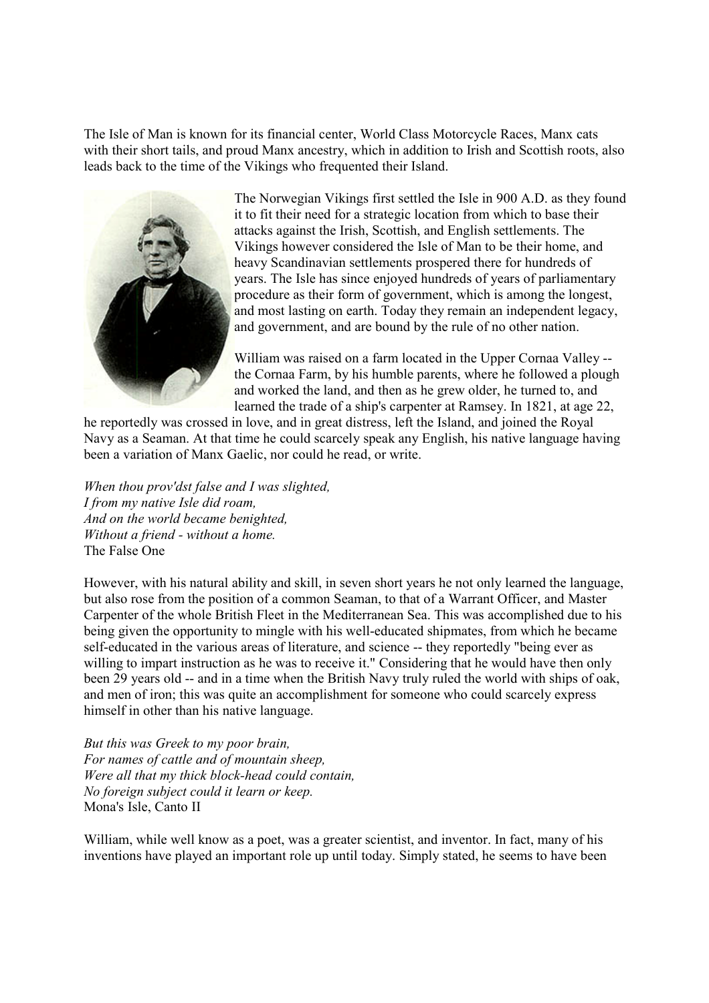The Isle of Man is known for its financial center, World Class Motorcycle Races, Manx cats with their short tails, and proud Manx ancestry, which in addition to Irish and Scottish roots, also leads back to the time of the Vikings who frequented their Island.



The Norwegian Vikings first settled the Isle in 900 A.D. as they found it to fit their need for a strategic location from which to base their attacks against the Irish, Scottish, and English settlements. The Vikings however considered the Isle of Man to be their home, and heavy Scandinavian settlements prospered there for hundreds of years. The Isle has since enjoyed hundreds of years of parliamentary procedure as their form of government, which is among the longest, and most lasting on earth. Today they remain an independent legacy, and government, and are bound by the rule of no other nation.

William was raised on a farm located in the Upper Cornaa Valley - the Cornaa Farm, by his humble parents, where he followed a plough and worked the land, and then as he grew older, he turned to, and learned the trade of a ship's carpenter at Ramsey. In 1821, at age 22,

he reportedly was crossed in love, and in great distress, left the Island, and joined the Royal Navy as a Seaman. At that time he could scarcely speak any English, his native language having been a variation of Manx Gaelic, nor could he read, or write.

*When thou prov'dst false and I was slighted, I from my native Isle did roam, And on the world became benighted, Without a friend - without a home.*  The False One

However, with his natural ability and skill, in seven short years he not only learned the language, but also rose from the position of a common Seaman, to that of a Warrant Officer, and Master Carpenter of the whole British Fleet in the Mediterranean Sea. This was accomplished due to his being given the opportunity to mingle with his well-educated shipmates, from which he became self-educated in the various areas of literature, and science -- they reportedly "being ever as willing to impart instruction as he was to receive it." Considering that he would have then only been 29 years old -- and in a time when the British Navy truly ruled the world with ships of oak, and men of iron; this was quite an accomplishment for someone who could scarcely express himself in other than his native language.

*But this was Greek to my poor brain, For names of cattle and of mountain sheep, Were all that my thick block-head could contain, No foreign subject could it learn or keep.*  Mona's Isle, Canto II

William, while well know as a poet, was a greater scientist, and inventor. In fact, many of his inventions have played an important role up until today. Simply stated, he seems to have been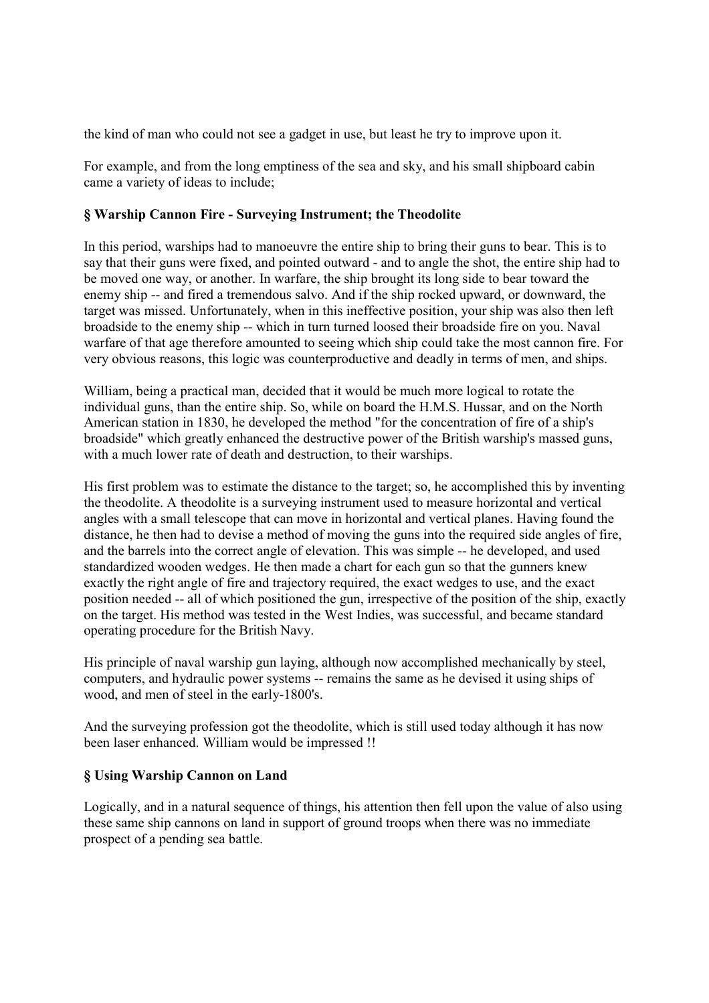the kind of man who could not see a gadget in use, but least he try to improve upon it.

For example, and from the long emptiness of the sea and sky, and his small shipboard cabin came a variety of ideas to include;

# **§ Warship Cannon Fire - Surveying Instrument; the Theodolite**

In this period, warships had to manoeuvre the entire ship to bring their guns to bear. This is to say that their guns were fixed, and pointed outward - and to angle the shot, the entire ship had to be moved one way, or another. In warfare, the ship brought its long side to bear toward the enemy ship -- and fired a tremendous salvo. And if the ship rocked upward, or downward, the target was missed. Unfortunately, when in this ineffective position, your ship was also then left broadside to the enemy ship -- which in turn turned loosed their broadside fire on you. Naval warfare of that age therefore amounted to seeing which ship could take the most cannon fire. For very obvious reasons, this logic was counterproductive and deadly in terms of men, and ships.

William, being a practical man, decided that it would be much more logical to rotate the individual guns, than the entire ship. So, while on board the H.M.S. Hussar, and on the North American station in 1830, he developed the method "for the concentration of fire of a ship's broadside" which greatly enhanced the destructive power of the British warship's massed guns, with a much lower rate of death and destruction, to their warships.

His first problem was to estimate the distance to the target; so, he accomplished this by inventing the theodolite. A theodolite is a surveying instrument used to measure horizontal and vertical angles with a small telescope that can move in horizontal and vertical planes. Having found the distance, he then had to devise a method of moving the guns into the required side angles of fire, and the barrels into the correct angle of elevation. This was simple -- he developed, and used standardized wooden wedges. He then made a chart for each gun so that the gunners knew exactly the right angle of fire and trajectory required, the exact wedges to use, and the exact position needed -- all of which positioned the gun, irrespective of the position of the ship, exactly on the target. His method was tested in the West Indies, was successful, and became standard operating procedure for the British Navy.

His principle of naval warship gun laying, although now accomplished mechanically by steel, computers, and hydraulic power systems -- remains the same as he devised it using ships of wood, and men of steel in the early-1800's.

And the surveying profession got the theodolite, which is still used today although it has now been laser enhanced. William would be impressed !!

# **§ Using Warship Cannon on Land**

Logically, and in a natural sequence of things, his attention then fell upon the value of also using these same ship cannons on land in support of ground troops when there was no immediate prospect of a pending sea battle.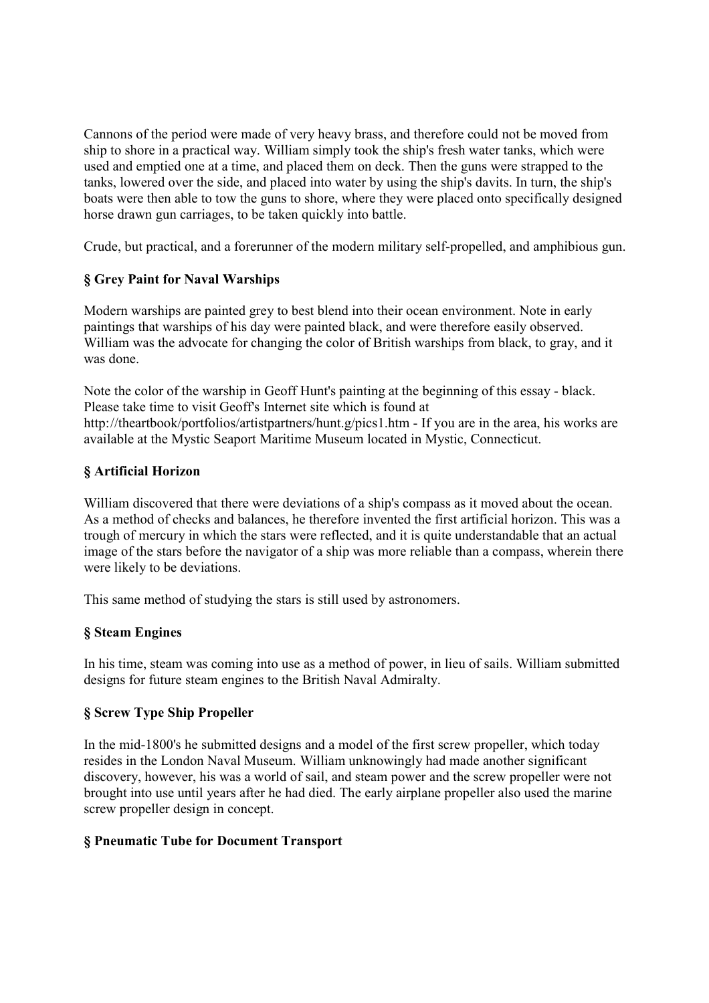Cannons of the period were made of very heavy brass, and therefore could not be moved from ship to shore in a practical way. William simply took the ship's fresh water tanks, which were used and emptied one at a time, and placed them on deck. Then the guns were strapped to the tanks, lowered over the side, and placed into water by using the ship's davits. In turn, the ship's boats were then able to tow the guns to shore, where they were placed onto specifically designed horse drawn gun carriages, to be taken quickly into battle.

Crude, but practical, and a forerunner of the modern military self-propelled, and amphibious gun.

# **§ Grey Paint for Naval Warships**

Modern warships are painted grey to best blend into their ocean environment. Note in early paintings that warships of his day were painted black, and were therefore easily observed. William was the advocate for changing the color of British warships from black, to gray, and it was done.

Note the color of the warship in Geoff Hunt's painting at the beginning of this essay - black. Please take time to visit Geoff's Internet site which is found at http://theartbook/portfolios/artistpartners/hunt.g/pics1.htm - If you are in the area, his works are available at the Mystic Seaport Maritime Museum located in Mystic, Connecticut.

# **§ Artificial Horizon**

William discovered that there were deviations of a ship's compass as it moved about the ocean. As a method of checks and balances, he therefore invented the first artificial horizon. This was a trough of mercury in which the stars were reflected, and it is quite understandable that an actual image of the stars before the navigator of a ship was more reliable than a compass, wherein there were likely to be deviations.

This same method of studying the stars is still used by astronomers.

# **§ Steam Engines**

In his time, steam was coming into use as a method of power, in lieu of sails. William submitted designs for future steam engines to the British Naval Admiralty.

# **§ Screw Type Ship Propeller**

In the mid-1800's he submitted designs and a model of the first screw propeller, which today resides in the London Naval Museum. William unknowingly had made another significant discovery, however, his was a world of sail, and steam power and the screw propeller were not brought into use until years after he had died. The early airplane propeller also used the marine screw propeller design in concept.

# **§ Pneumatic Tube for Document Transport**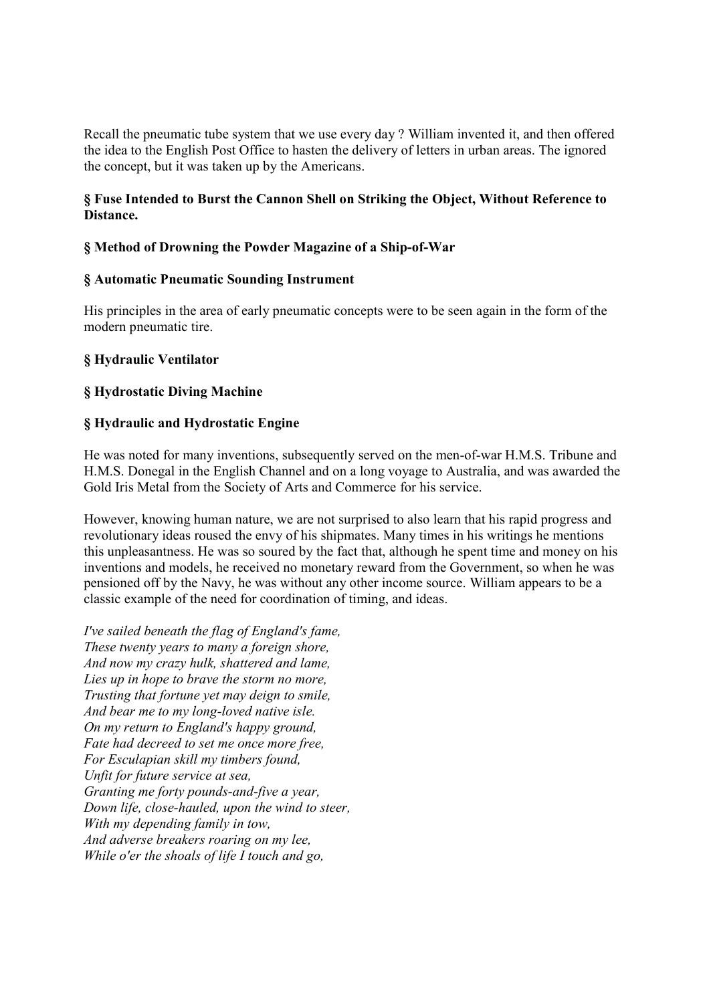Recall the pneumatic tube system that we use every day ? William invented it, and then offered the idea to the English Post Office to hasten the delivery of letters in urban areas. The ignored the concept, but it was taken up by the Americans.

# **§ Fuse Intended to Burst the Cannon Shell on Striking the Object, Without Reference to Distance.**

# **§ Method of Drowning the Powder Magazine of a Ship-of-War**

# **§ Automatic Pneumatic Sounding Instrument**

His principles in the area of early pneumatic concepts were to be seen again in the form of the modern pneumatic tire.

# **§ Hydraulic Ventilator**

# **§ Hydrostatic Diving Machine**

# **§ Hydraulic and Hydrostatic Engine**

He was noted for many inventions, subsequently served on the men-of-war H.M.S. Tribune and H.M.S. Donegal in the English Channel and on a long voyage to Australia, and was awarded the Gold Iris Metal from the Society of Arts and Commerce for his service.

However, knowing human nature, we are not surprised to also learn that his rapid progress and revolutionary ideas roused the envy of his shipmates. Many times in his writings he mentions this unpleasantness. He was so soured by the fact that, although he spent time and money on his inventions and models, he received no monetary reward from the Government, so when he was pensioned off by the Navy, he was without any other income source. William appears to be a classic example of the need for coordination of timing, and ideas.

*I've sailed beneath the flag of England's fame, These twenty years to many a foreign shore, And now my crazy hulk, shattered and lame, Lies up in hope to brave the storm no more, Trusting that fortune yet may deign to smile, And bear me to my long-loved native isle. On my return to England's happy ground, Fate had decreed to set me once more free, For Esculapian skill my timbers found, Unfit for future service at sea, Granting me forty pounds-and-five a year, Down life, close-hauled, upon the wind to steer, With my depending family in tow, And adverse breakers roaring on my lee, While o'er the shoals of life I touch and go,*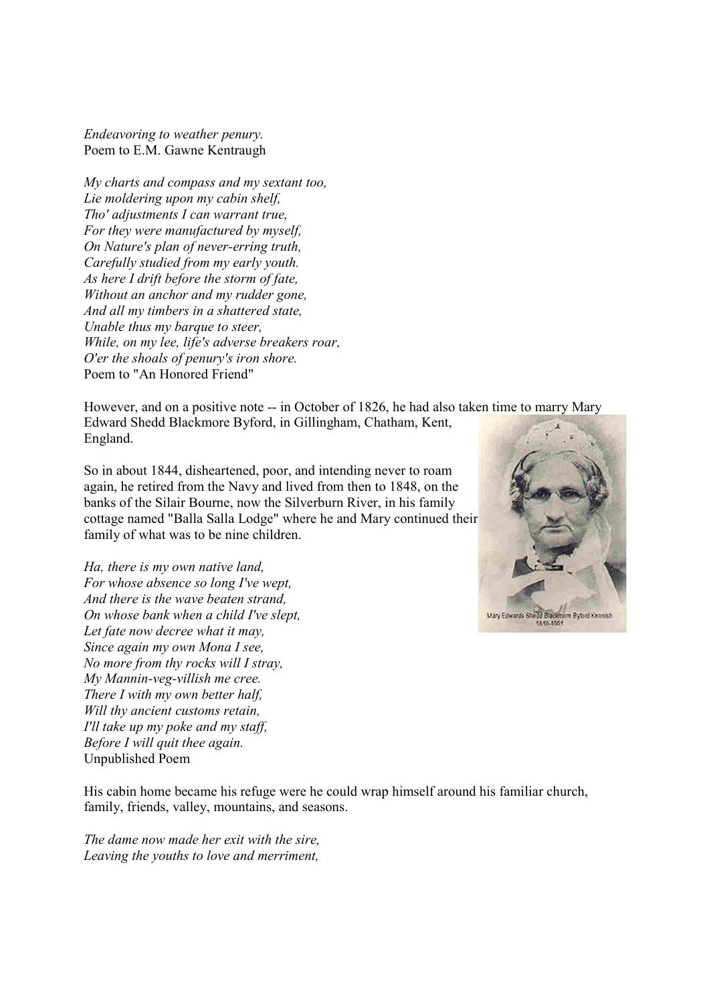*Endeavoring to weather penury.*  Poem to E.M. Gawne Kentraugh

*My charts and compass and my sextant too, Lie moldering upon my cabin shelf, Tho' adjustments I can warrant true, For they were manufactured by myself, On Nature's plan of never-erring truth, Carefully studied from my early youth. As here I drift before the storm of fate, Without an anchor and my rudder gone, And all my timbers in a shattered state, Unable thus my barque to steer, While, on my lee, life's adverse breakers roar, O'er the shoals of penury's iron shore.* Poem to "An Honored Friend"

However, and on a positive note -- in October of 1826, he had also taken time to marry Mary Edward Shedd Blackmore Byford, in Gillingham, Chatham, Kent, England.

So in about 1844, disheartened, poor, and intending never to roam again, he retired from the Navy and lived from then to 1848, on the banks of the Silair Bourne, now the Silverburn River, in his family cottage named "Balla Salla Lodge" where he and Mary continued their family of what was to be nine children.

*Ha, there is my own native land, For whose absence so long I've wept, And there is the wave beaten strand, On whose bank when a child I've slept, Let fate now decree what it may, Since again my own Mona I see, No more from thy rocks will I stray, My Mannin-veg-villish me cree. There I with my own better half, Will thy ancient customs retain, I'll take up my poke and my staff, Before I will quit thee again.* Unpublished Poem



His cabin home became his refuge were he could wrap himself around his familiar church, family, friends, valley, mountains, and seasons.

*The dame now made her exit with the sire, Leaving the youths to love and merriment,*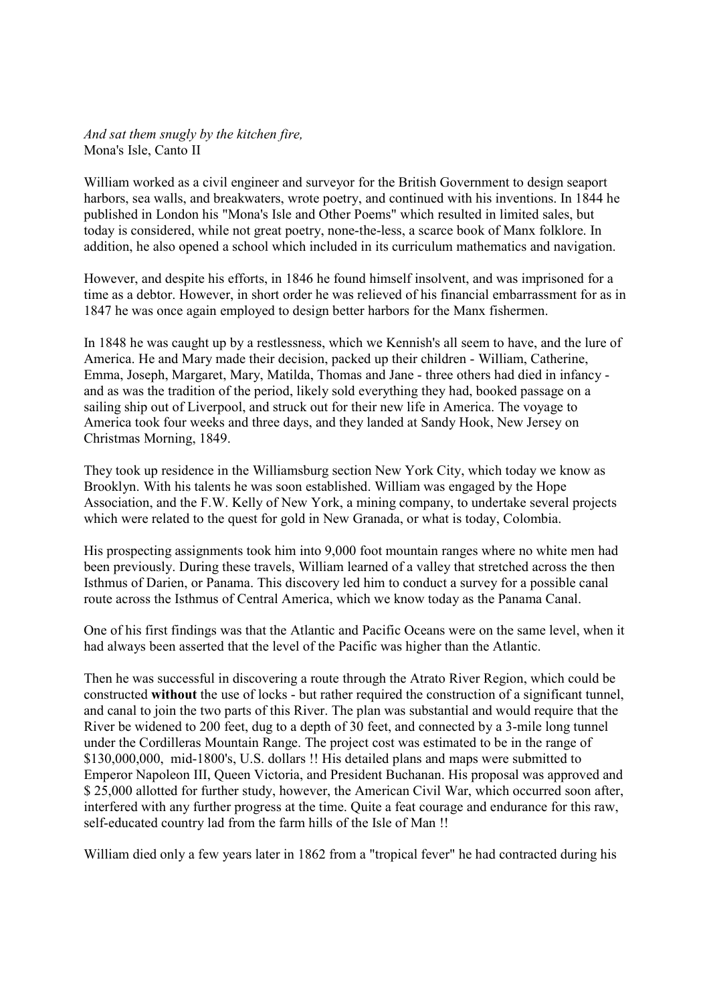*And sat them snugly by the kitchen fire,* Mona's Isle, Canto II

William worked as a civil engineer and surveyor for the British Government to design seaport harbors, sea walls, and breakwaters, wrote poetry, and continued with his inventions. In 1844 he published in London his "Mona's Isle and Other Poems" which resulted in limited sales, but today is considered, while not great poetry, none-the-less, a scarce book of Manx folklore. In addition, he also opened a school which included in its curriculum mathematics and navigation.

However, and despite his efforts, in 1846 he found himself insolvent, and was imprisoned for a time as a debtor. However, in short order he was relieved of his financial embarrassment for as in 1847 he was once again employed to design better harbors for the Manx fishermen.

In 1848 he was caught up by a restlessness, which we Kennish's all seem to have, and the lure of America. He and Mary made their decision, packed up their children - William, Catherine, Emma, Joseph, Margaret, Mary, Matilda, Thomas and Jane - three others had died in infancy and as was the tradition of the period, likely sold everything they had, booked passage on a sailing ship out of Liverpool, and struck out for their new life in America. The voyage to America took four weeks and three days, and they landed at Sandy Hook, New Jersey on Christmas Morning, 1849.

They took up residence in the Williamsburg section New York City, which today we know as Brooklyn. With his talents he was soon established. William was engaged by the Hope Association, and the F.W. Kelly of New York, a mining company, to undertake several projects which were related to the quest for gold in New Granada, or what is today, Colombia.

His prospecting assignments took him into 9,000 foot mountain ranges where no white men had been previously. During these travels, William learned of a valley that stretched across the then Isthmus of Darien, or Panama. This discovery led him to conduct a survey for a possible canal route across the Isthmus of Central America, which we know today as the Panama Canal.

One of his first findings was that the Atlantic and Pacific Oceans were on the same level, when it had always been asserted that the level of the Pacific was higher than the Atlantic.

Then he was successful in discovering a route through the Atrato River Region, which could be constructed **without** the use of locks - but rather required the construction of a significant tunnel, and canal to join the two parts of this River. The plan was substantial and would require that the River be widened to 200 feet, dug to a depth of 30 feet, and connected by a 3-mile long tunnel under the Cordilleras Mountain Range. The project cost was estimated to be in the range of \$130,000,000, mid-1800's, U.S. dollars !! His detailed plans and maps were submitted to Emperor Napoleon III, Queen Victoria, and President Buchanan. His proposal was approved and \$ 25,000 allotted for further study, however, the American Civil War, which occurred soon after, interfered with any further progress at the time. Quite a feat courage and endurance for this raw, self-educated country lad from the farm hills of the Isle of Man !!

William died only a few years later in 1862 from a "tropical fever" he had contracted during his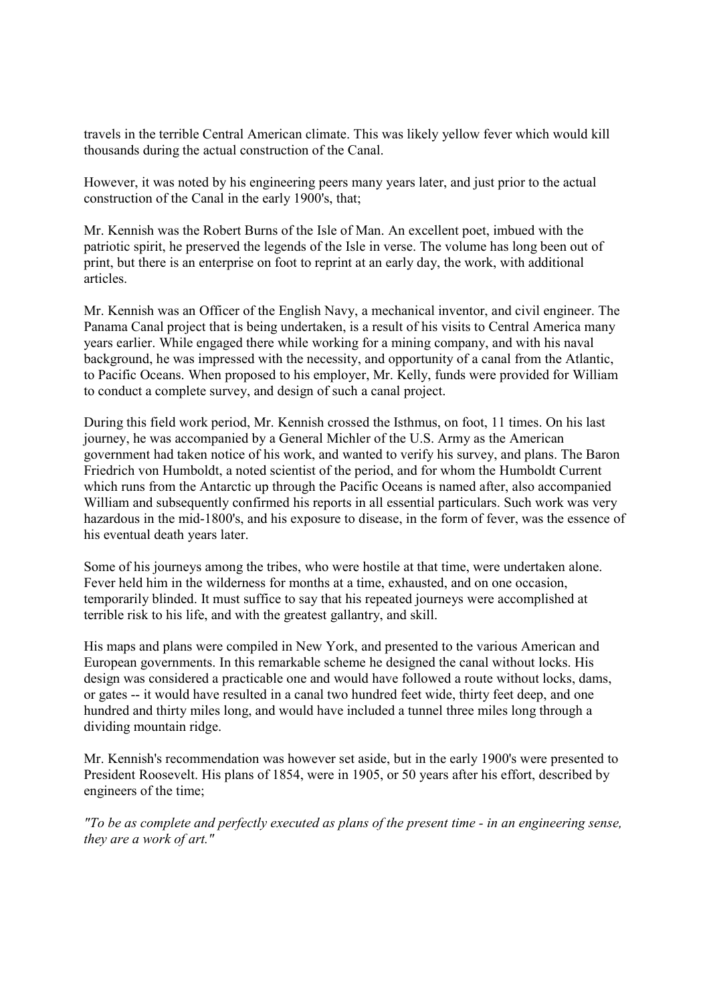travels in the terrible Central American climate. This was likely yellow fever which would kill thousands during the actual construction of the Canal.

However, it was noted by his engineering peers many years later, and just prior to the actual construction of the Canal in the early 1900's, that;

Mr. Kennish was the Robert Burns of the Isle of Man. An excellent poet, imbued with the patriotic spirit, he preserved the legends of the Isle in verse. The volume has long been out of print, but there is an enterprise on foot to reprint at an early day, the work, with additional articles.

Mr. Kennish was an Officer of the English Navy, a mechanical inventor, and civil engineer. The Panama Canal project that is being undertaken, is a result of his visits to Central America many years earlier. While engaged there while working for a mining company, and with his naval background, he was impressed with the necessity, and opportunity of a canal from the Atlantic, to Pacific Oceans. When proposed to his employer, Mr. Kelly, funds were provided for William to conduct a complete survey, and design of such a canal project.

During this field work period, Mr. Kennish crossed the Isthmus, on foot, 11 times. On his last journey, he was accompanied by a General Michler of the U.S. Army as the American government had taken notice of his work, and wanted to verify his survey, and plans. The Baron Friedrich von Humboldt, a noted scientist of the period, and for whom the Humboldt Current which runs from the Antarctic up through the Pacific Oceans is named after, also accompanied William and subsequently confirmed his reports in all essential particulars. Such work was very hazardous in the mid-1800's, and his exposure to disease, in the form of fever, was the essence of his eventual death years later.

Some of his journeys among the tribes, who were hostile at that time, were undertaken alone. Fever held him in the wilderness for months at a time, exhausted, and on one occasion, temporarily blinded. It must suffice to say that his repeated journeys were accomplished at terrible risk to his life, and with the greatest gallantry, and skill.

His maps and plans were compiled in New York, and presented to the various American and European governments. In this remarkable scheme he designed the canal without locks. His design was considered a practicable one and would have followed a route without locks, dams, or gates -- it would have resulted in a canal two hundred feet wide, thirty feet deep, and one hundred and thirty miles long, and would have included a tunnel three miles long through a dividing mountain ridge.

Mr. Kennish's recommendation was however set aside, but in the early 1900's were presented to President Roosevelt. His plans of 1854, were in 1905, or 50 years after his effort, described by engineers of the time;

*"To be as complete and perfectly executed as plans of the present time - in an engineering sense, they are a work of art."*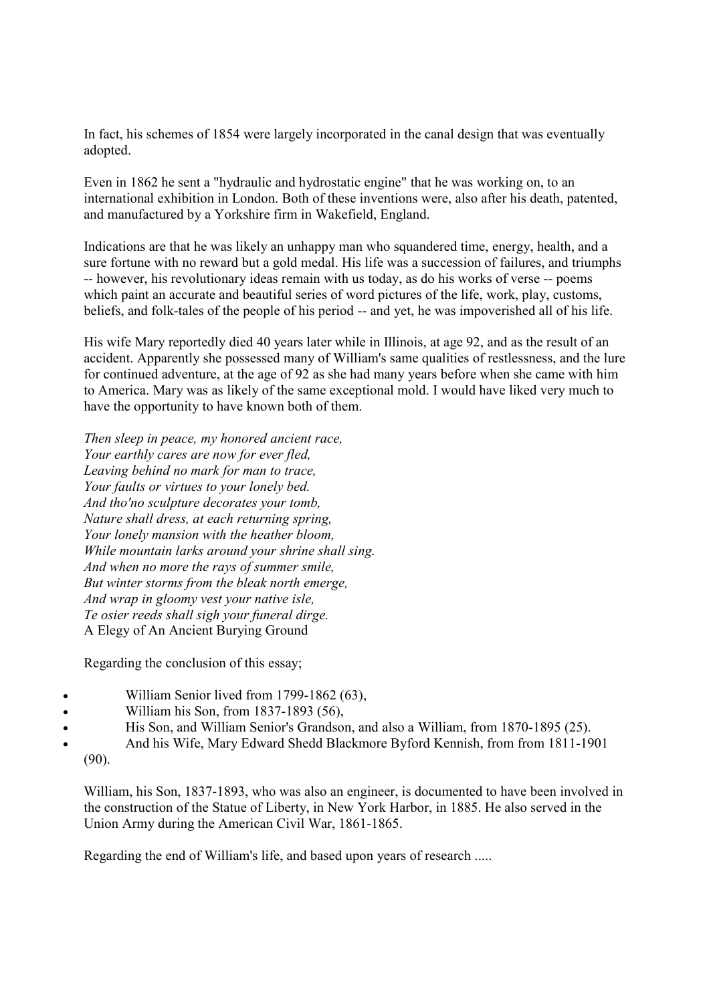In fact, his schemes of 1854 were largely incorporated in the canal design that was eventually adopted.

Even in 1862 he sent a "hydraulic and hydrostatic engine" that he was working on, to an international exhibition in London. Both of these inventions were, also after his death, patented, and manufactured by a Yorkshire firm in Wakefield, England.

Indications are that he was likely an unhappy man who squandered time, energy, health, and a sure fortune with no reward but a gold medal. His life was a succession of failures, and triumphs -- however, his revolutionary ideas remain with us today, as do his works of verse -- poems which paint an accurate and beautiful series of word pictures of the life, work, play, customs, beliefs, and folk-tales of the people of his period -- and yet, he was impoverished all of his life.

His wife Mary reportedly died 40 years later while in Illinois, at age 92, and as the result of an accident. Apparently she possessed many of William's same qualities of restlessness, and the lure for continued adventure, at the age of 92 as she had many years before when she came with him to America. Mary was as likely of the same exceptional mold. I would have liked very much to have the opportunity to have known both of them.

*Then sleep in peace, my honored ancient race, Your earthly cares are now for ever fled, Leaving behind no mark for man to trace, Your faults or virtues to your lonely bed. And tho'no sculpture decorates your tomb, Nature shall dress, at each returning spring, Your lonely mansion with the heather bloom, While mountain larks around your shrine shall sing. And when no more the rays of summer smile, But winter storms from the bleak north emerge, And wrap in gloomy vest your native isle, Te osier reeds shall sigh your funeral dirge.* A Elegy of An Ancient Burying Ground

Regarding the conclusion of this essay;

- William Senior lived from 1799-1862 (63),
- William his Son, from 1837-1893 (56),
- · His Son, and William Senior's Grandson, and also a William, from 1870-1895 (25).
- · And his Wife, Mary Edward Shedd Blackmore Byford Kennish, from from 1811-1901
- (90).

William, his Son, 1837-1893, who was also an engineer, is documented to have been involved in the construction of the Statue of Liberty, in New York Harbor, in 1885. He also served in the Union Army during the American Civil War, 1861-1865.

Regarding the end of William's life, and based upon years of research .....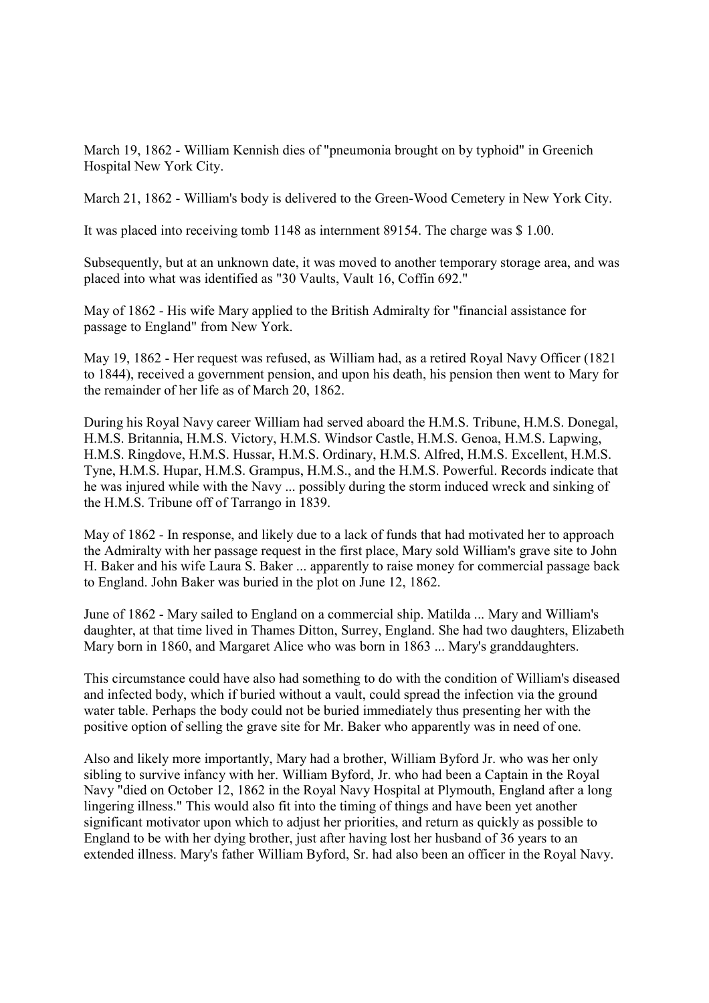March 19, 1862 - William Kennish dies of "pneumonia brought on by typhoid" in Greenich Hospital New York City.

March 21, 1862 - William's body is delivered to the Green-Wood Cemetery in New York City.

It was placed into receiving tomb 1148 as internment 89154. The charge was \$ 1.00.

Subsequently, but at an unknown date, it was moved to another temporary storage area, and was placed into what was identified as "30 Vaults, Vault 16, Coffin 692."

May of 1862 - His wife Mary applied to the British Admiralty for "financial assistance for passage to England" from New York.

May 19, 1862 - Her request was refused, as William had, as a retired Royal Navy Officer (1821 to 1844), received a government pension, and upon his death, his pension then went to Mary for the remainder of her life as of March 20, 1862.

During his Royal Navy career William had served aboard the H.M.S. Tribune, H.M.S. Donegal, H.M.S. Britannia, H.M.S. Victory, H.M.S. Windsor Castle, H.M.S. Genoa, H.M.S. Lapwing, H.M.S. Ringdove, H.M.S. Hussar, H.M.S. Ordinary, H.M.S. Alfred, H.M.S. Excellent, H.M.S. Tyne, H.M.S. Hupar, H.M.S. Grampus, H.M.S., and the H.M.S. Powerful. Records indicate that he was injured while with the Navy ... possibly during the storm induced wreck and sinking of the H.M.S. Tribune off of Tarrango in 1839.

May of 1862 - In response, and likely due to a lack of funds that had motivated her to approach the Admiralty with her passage request in the first place, Mary sold William's grave site to John H. Baker and his wife Laura S. Baker ... apparently to raise money for commercial passage back to England. John Baker was buried in the plot on June 12, 1862.

June of 1862 - Mary sailed to England on a commercial ship. Matilda ... Mary and William's daughter, at that time lived in Thames Ditton, Surrey, England. She had two daughters, Elizabeth Mary born in 1860, and Margaret Alice who was born in 1863 ... Mary's granddaughters.

This circumstance could have also had something to do with the condition of William's diseased and infected body, which if buried without a vault, could spread the infection via the ground water table. Perhaps the body could not be buried immediately thus presenting her with the positive option of selling the grave site for Mr. Baker who apparently was in need of one.

Also and likely more importantly, Mary had a brother, William Byford Jr. who was her only sibling to survive infancy with her. William Byford, Jr. who had been a Captain in the Royal Navy "died on October 12, 1862 in the Royal Navy Hospital at Plymouth, England after a long lingering illness." This would also fit into the timing of things and have been yet another significant motivator upon which to adjust her priorities, and return as quickly as possible to England to be with her dying brother, just after having lost her husband of 36 years to an extended illness. Mary's father William Byford, Sr. had also been an officer in the Royal Navy.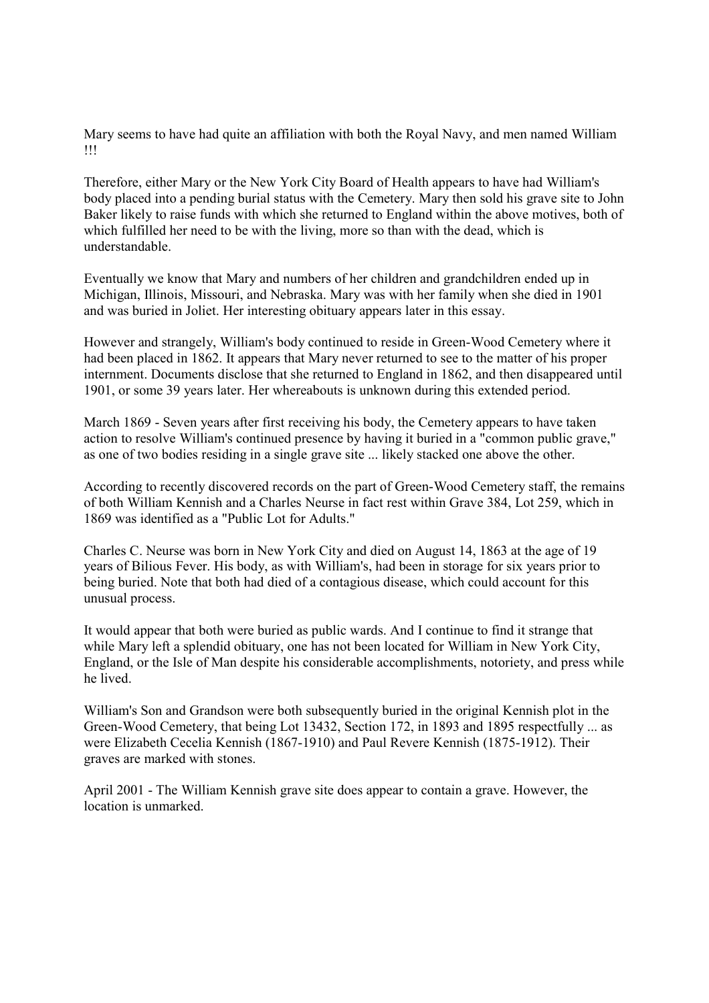Mary seems to have had quite an affiliation with both the Royal Navy, and men named William !!!

Therefore, either Mary or the New York City Board of Health appears to have had William's body placed into a pending burial status with the Cemetery. Mary then sold his grave site to John Baker likely to raise funds with which she returned to England within the above motives, both of which fulfilled her need to be with the living, more so than with the dead, which is understandable.

Eventually we know that Mary and numbers of her children and grandchildren ended up in Michigan, Illinois, Missouri, and Nebraska. Mary was with her family when she died in 1901 and was buried in Joliet. Her interesting obituary appears later in this essay.

However and strangely, William's body continued to reside in Green-Wood Cemetery where it had been placed in 1862. It appears that Mary never returned to see to the matter of his proper internment. Documents disclose that she returned to England in 1862, and then disappeared until 1901, or some 39 years later. Her whereabouts is unknown during this extended period.

March 1869 - Seven years after first receiving his body, the Cemetery appears to have taken action to resolve William's continued presence by having it buried in a "common public grave," as one of two bodies residing in a single grave site ... likely stacked one above the other.

According to recently discovered records on the part of Green-Wood Cemetery staff, the remains of both William Kennish and a Charles Neurse in fact rest within Grave 384, Lot 259, which in 1869 was identified as a "Public Lot for Adults."

Charles C. Neurse was born in New York City and died on August 14, 1863 at the age of 19 years of Bilious Fever. His body, as with William's, had been in storage for six years prior to being buried. Note that both had died of a contagious disease, which could account for this unusual process.

It would appear that both were buried as public wards. And I continue to find it strange that while Mary left a splendid obituary, one has not been located for William in New York City, England, or the Isle of Man despite his considerable accomplishments, notoriety, and press while he lived.

William's Son and Grandson were both subsequently buried in the original Kennish plot in the Green-Wood Cemetery, that being Lot 13432, Section 172, in 1893 and 1895 respectfully ... as were Elizabeth Cecelia Kennish (1867-1910) and Paul Revere Kennish (1875-1912). Their graves are marked with stones.

April 2001 - The William Kennish grave site does appear to contain a grave. However, the location is unmarked.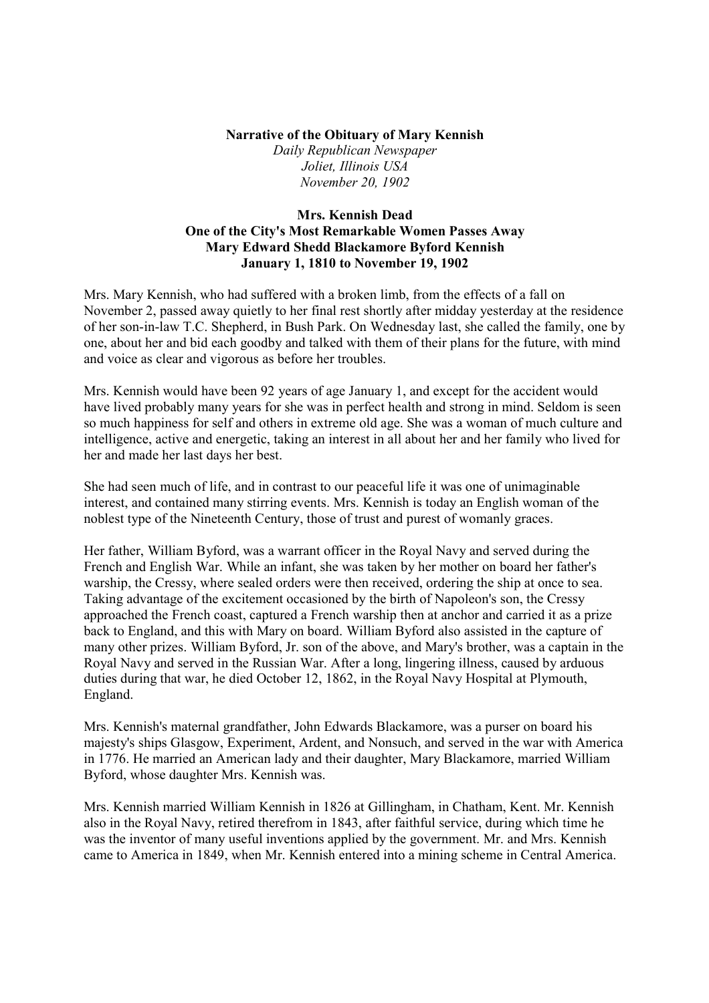# **Narrative of the Obituary of Mary Kennish**

*Daily Republican Newspaper Joliet, Illinois USA November 20, 1902*

# **Mrs. Kennish Dead One of the City's Most Remarkable Women Passes Away Mary Edward Shedd Blackamore Byford Kennish January 1, 1810 to November 19, 1902**

Mrs. Mary Kennish, who had suffered with a broken limb, from the effects of a fall on November 2, passed away quietly to her final rest shortly after midday yesterday at the residence of her son-in-law T.C. Shepherd, in Bush Park. On Wednesday last, she called the family, one by one, about her and bid each goodby and talked with them of their plans for the future, with mind and voice as clear and vigorous as before her troubles.

Mrs. Kennish would have been 92 years of age January 1, and except for the accident would have lived probably many years for she was in perfect health and strong in mind. Seldom is seen so much happiness for self and others in extreme old age. She was a woman of much culture and intelligence, active and energetic, taking an interest in all about her and her family who lived for her and made her last days her best.

She had seen much of life, and in contrast to our peaceful life it was one of unimaginable interest, and contained many stirring events. Mrs. Kennish is today an English woman of the noblest type of the Nineteenth Century, those of trust and purest of womanly graces.

Her father, William Byford, was a warrant officer in the Royal Navy and served during the French and English War. While an infant, she was taken by her mother on board her father's warship, the Cressy, where sealed orders were then received, ordering the ship at once to sea. Taking advantage of the excitement occasioned by the birth of Napoleon's son, the Cressy approached the French coast, captured a French warship then at anchor and carried it as a prize back to England, and this with Mary on board. William Byford also assisted in the capture of many other prizes. William Byford, Jr. son of the above, and Mary's brother, was a captain in the Royal Navy and served in the Russian War. After a long, lingering illness, caused by arduous duties during that war, he died October 12, 1862, in the Royal Navy Hospital at Plymouth, England.

Mrs. Kennish's maternal grandfather, John Edwards Blackamore, was a purser on board his majesty's ships Glasgow, Experiment, Ardent, and Nonsuch, and served in the war with America in 1776. He married an American lady and their daughter, Mary Blackamore, married William Byford, whose daughter Mrs. Kennish was.

Mrs. Kennish married William Kennish in 1826 at Gillingham, in Chatham, Kent. Mr. Kennish also in the Royal Navy, retired therefrom in 1843, after faithful service, during which time he was the inventor of many useful inventions applied by the government. Mr. and Mrs. Kennish came to America in 1849, when Mr. Kennish entered into a mining scheme in Central America.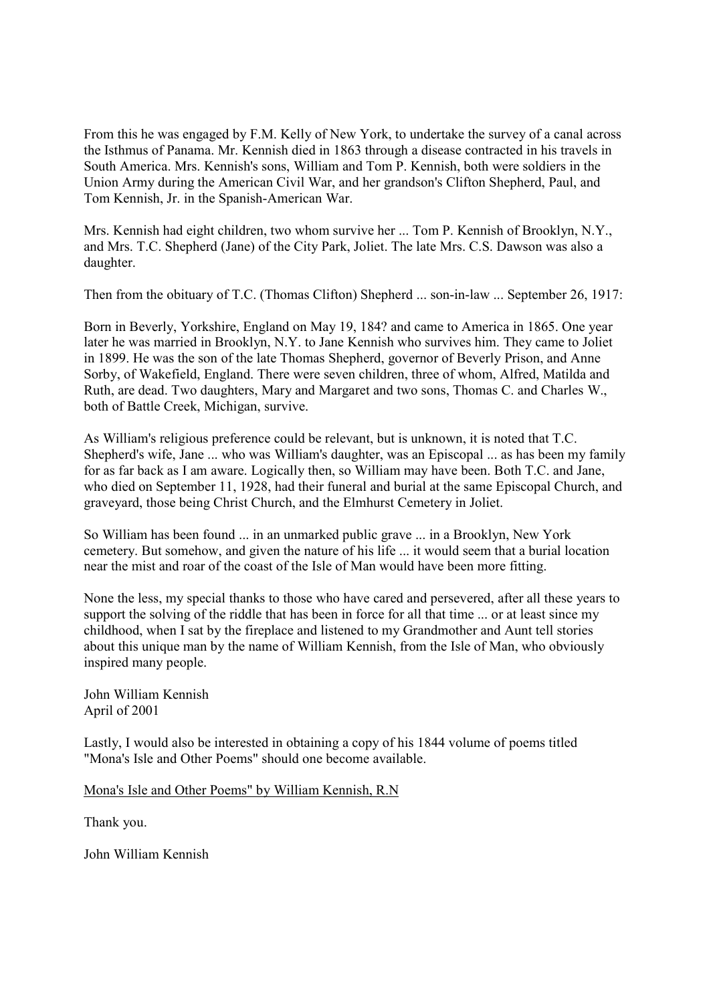From this he was engaged by F.M. Kelly of New York, to undertake the survey of a canal across the Isthmus of Panama. Mr. Kennish died in 1863 through a disease contracted in his travels in South America. Mrs. Kennish's sons, William and Tom P. Kennish, both were soldiers in the Union Army during the American Civil War, and her grandson's Clifton Shepherd, Paul, and Tom Kennish, Jr. in the Spanish-American War.

Mrs. Kennish had eight children, two whom survive her ... Tom P. Kennish of Brooklyn, N.Y., and Mrs. T.C. Shepherd (Jane) of the City Park, Joliet. The late Mrs. C.S. Dawson was also a daughter.

Then from the obituary of T.C. (Thomas Clifton) Shepherd ... son-in-law ... September 26, 1917:

Born in Beverly, Yorkshire, England on May 19, 184? and came to America in 1865. One year later he was married in Brooklyn, N.Y. to Jane Kennish who survives him. They came to Joliet in 1899. He was the son of the late Thomas Shepherd, governor of Beverly Prison, and Anne Sorby, of Wakefield, England. There were seven children, three of whom, Alfred, Matilda and Ruth, are dead. Two daughters, Mary and Margaret and two sons, Thomas C. and Charles W., both of Battle Creek, Michigan, survive.

As William's religious preference could be relevant, but is unknown, it is noted that T.C. Shepherd's wife, Jane ... who was William's daughter, was an Episcopal ... as has been my family for as far back as I am aware. Logically then, so William may have been. Both T.C. and Jane, who died on September 11, 1928, had their funeral and burial at the same Episcopal Church, and graveyard, those being Christ Church, and the Elmhurst Cemetery in Joliet.

So William has been found ... in an unmarked public grave ... in a Brooklyn, New York cemetery. But somehow, and given the nature of his life ... it would seem that a burial location near the mist and roar of the coast of the Isle of Man would have been more fitting.

None the less, my special thanks to those who have cared and persevered, after all these years to support the solving of the riddle that has been in force for all that time ... or at least since my childhood, when I sat by the fireplace and listened to my Grandmother and Aunt tell stories about this unique man by the name of William Kennish, from the Isle of Man, who obviously inspired many people.

John William Kennish April of 2001

Lastly, I would also be interested in obtaining a copy of his 1844 volume of poems titled "Mona's Isle and Other Poems" should one become available.

Mona's Isle and Other Poems" by William Kennish, R.N

Thank you.

John William Kennish